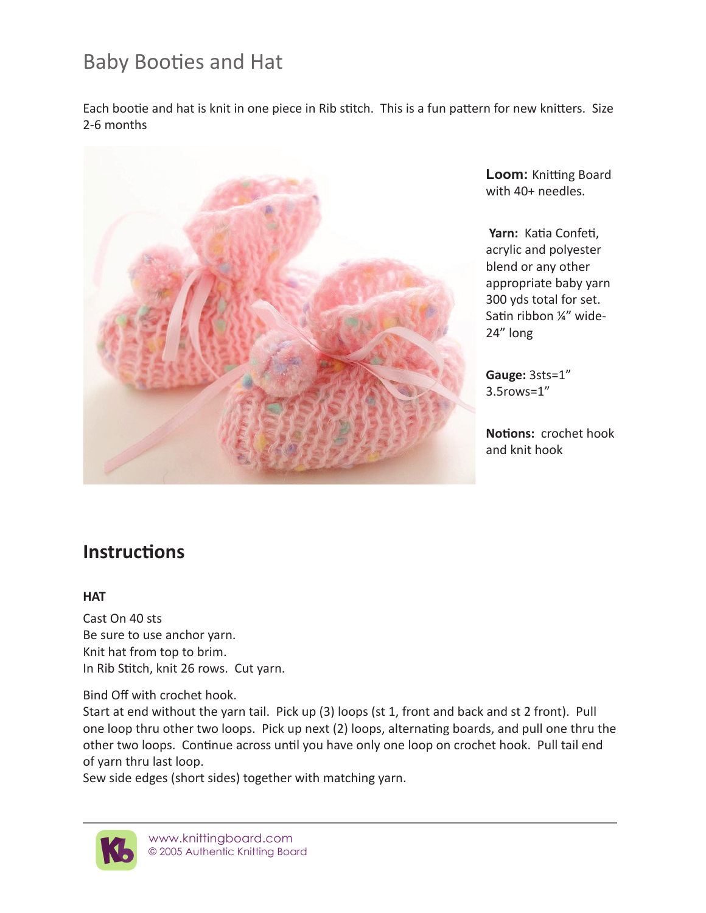# Baby Booties and Hat

Each bootie and hat is knit in one piece in Rib stitch. This is a fun pattern for new knitters. Size 2-6 months



**Loom:** Knitting Board with 40+ needles.

**Yarn:** Katia Confeti, acrylic and polyester blend or any other appropriate baby yarn 300 yds total for set. Satin ribbon ¼" wide-24" long

**Gauge:** 3sts=1" 3.5rows=1"

**Notions:** crochet hook and knit hook

## **Instructions**

#### **HAT**

Cast On 40 sts Be sure to use anchor yarn. Knit hat from top to brim. In Rib Stitch, knit 26 rows. Cut yarn.

Bind Off with crochet hook.

Start at end without the yarn tail. Pick up (3) loops (st 1, front and back and st 2 front). Pull one loop thru other two loops. Pick up next (2) loops, alternating boards, and pull one thru the other two loops. Continue across until you have only one loop on crochet hook. Pull tail end of yarn thru last loop.

Sew side edges (short sides) together with matching yarn.